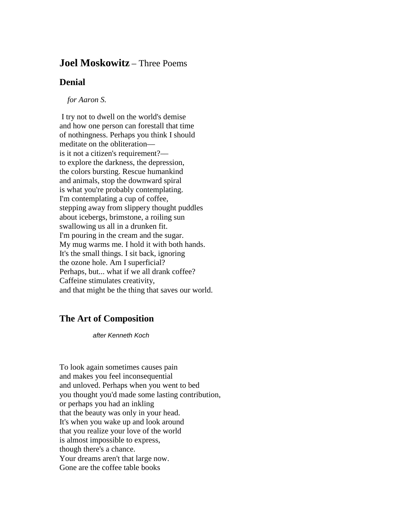## **Joel Moskowitz** – Three Poems

## **Denial**

*for Aaron S.*

I try not to dwell on the world's demise and how one person can forestall that time of nothingness. Perhaps you think I should meditate on the obliteration–– is it not a citizen's requirement?–– to explore the darkness, the depression, the colors bursting. Rescue humankind and animals, stop the downward spiral is what you're probably contemplating. I'm contemplating a cup of coffee, stepping away from slippery thought puddles about icebergs, brimstone, a roiling sun swallowing us all in a drunken fit. I'm pouring in the cream and the sugar. My mug warms me. I hold it with both hands. It's the small things. I sit back, ignoring the ozone hole. Am I superficial? Perhaps, but... what if we all drank coffee? Caffeine stimulates creativity, and that might be the thing that saves our world.

## **The Art of Composition**

*after Kenneth Koch*

To look again sometimes causes pain and makes you feel inconsequential and unloved. Perhaps when you went to bed you thought you'd made some lasting contribution, or perhaps you had an inkling that the beauty was only in your head. It's when you wake up and look around that you realize your love of the world is almost impossible to express, though there's a chance. Your dreams aren't that large now. Gone are the coffee table books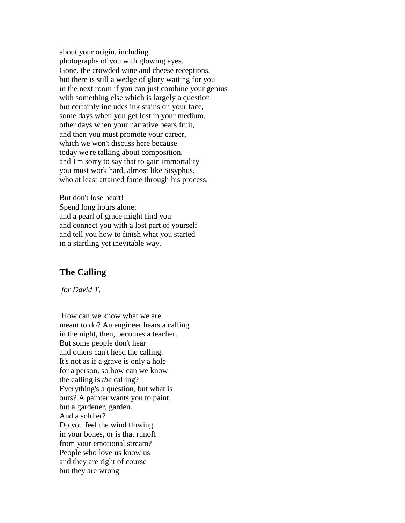about your origin, including photographs of you with glowing eyes. Gone, the crowded wine and cheese receptions, but there is still a wedge of glory waiting for you in the next room if you can just combine your genius with something else which is largely a question but certainly includes ink stains on your face, some days when you get lost in your medium, other days when your narrative bears fruit, and then you must promote your career, which we won't discuss here because today we're talking about composition, and I'm sorry to say that to gain immortality you must work hard, almost like Sisyphus, who at least attained fame through his process.

But don't lose heart! Spend long hours alone; and a pearl of grace might find you and connect you with a lost part of yourself and tell you how to finish what you started in a startling yet inevitable way.

## **The Calling**

*for David T.*

How can we know what we are meant to do? An engineer hears a calling in the night, then, becomes a teacher. But some people don't hear and others can't heed the calling. It's not as if a grave is only a hole for a person, so how can we know the calling is *the* calling? Everything's a question, but what is ours? A painter wants you to paint, but a gardener, garden. And a soldier? Do you feel the wind flowing in your bones, or is that runoff from your emotional stream? People who love us know us and they are right of course but they are wrong